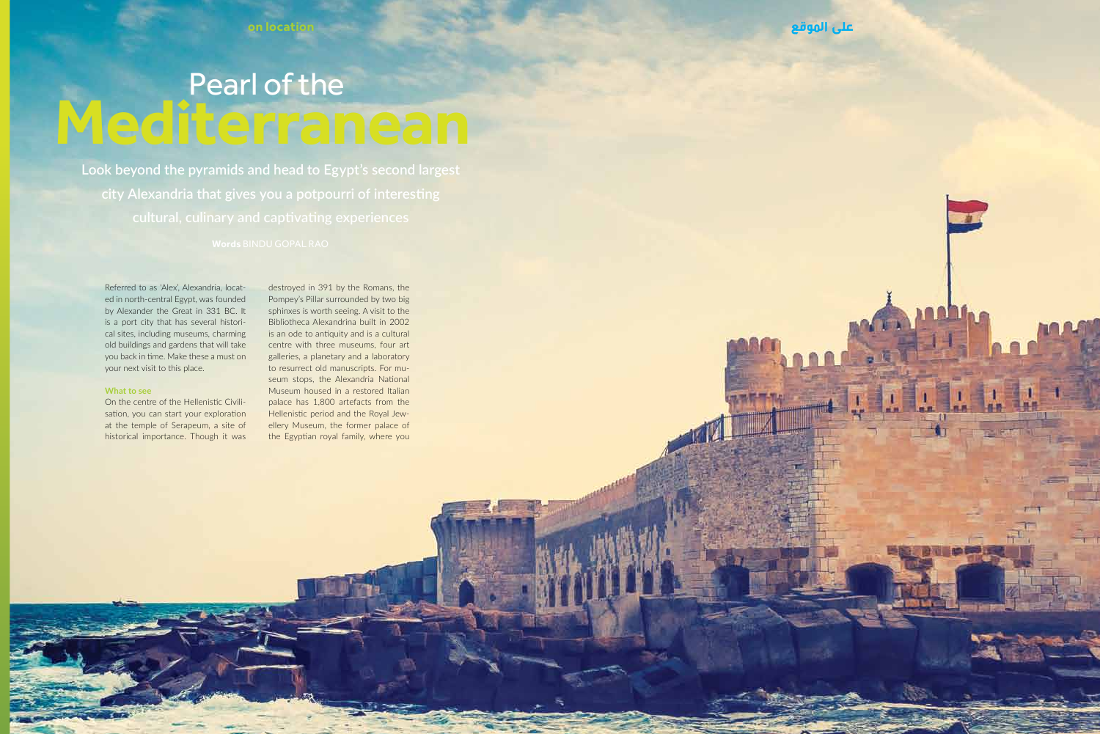$L = L$ 

 $\frac{1}{2}$ 

◎图 府司 画面 20 页

# Pearl of the **Mediterranean**

**Look beyond the pyramids and head to Egypt's second largest** 

Referred to as 'Alex', Alexandria, located in north-central Egypt, was founded by Alexander the Great in 331 BC. It is a port city that has several historical sites, including museums, charming old buildings and gardens that will take you back in time. Make these a must on your next visit to this place.

### **What to see**

On the centre of the Hellenistic Civilisation, you can start your exploration at the temple of Serapeum, a site of historical importance. Though it was

destroyed in 391 by the Romans, the Pompey's Pillar surrounded by two big sphinxes is worth seeing. A visit to the Bibliotheca Alexandrina built in 2002 is an ode to antiquity and is a cultural centre with three museums, four art galleries, a planetary and a laboratory to resurrect old manuscripts. For museum stops, the Alexandria National Museum housed in a restored Italian palace has 1,800 artefacts from the Hellenistic period and the Royal Jewellery Museum, the former palace of the Egyptian royal family, where you

 $20$  ,  $20$  ,  $20$  ,  $20$  ,  $20$  ,  $20$  ,  $20$  ,  $20$  ,  $20$  ,  $20$  ,  $20$  ,  $20$  ,  $20$  ,  $20$  ,  $20$  ,  $20$  ,  $20$  ,  $20$  ,  $20$  ,  $20$  ,  $20$  ,  $20$  ,  $20$  ,  $20$  ,  $20$  ,  $20$  ,  $20$  ,  $20$  ,  $20$  ,  $20$  ,  $20$  ,  $20$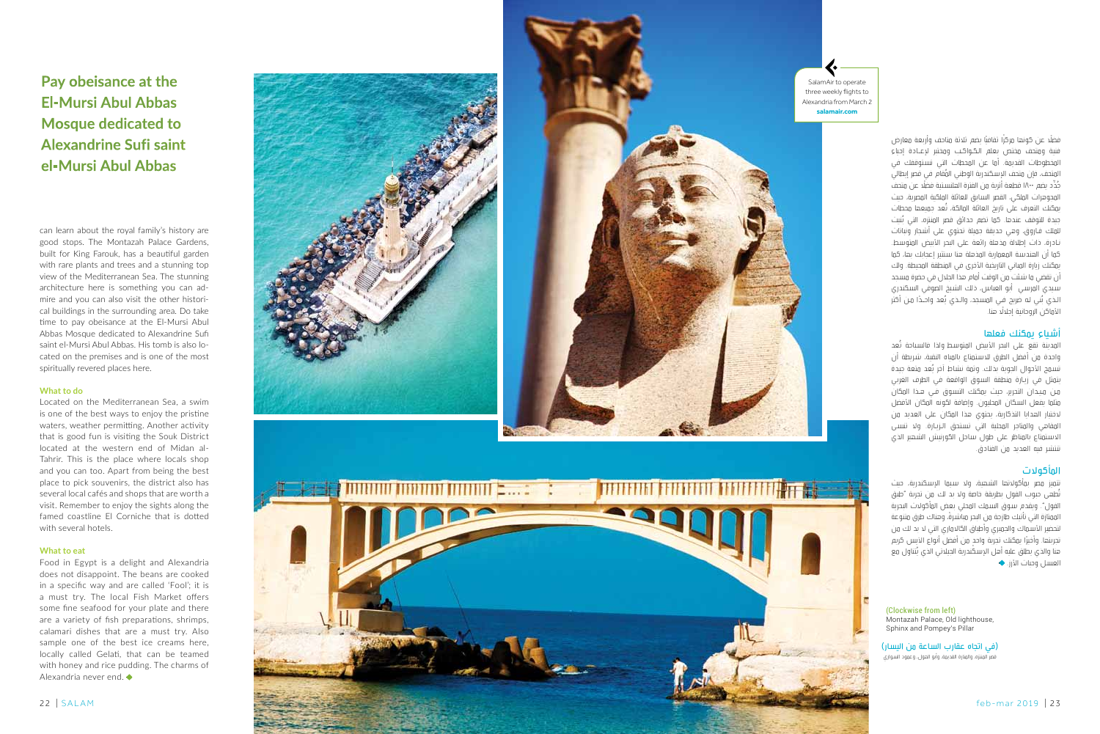**Pay obeisance at the El-Mursi Abul Abbas Mosque dedicated to Alexandrine Sufi saint el-Mursi Abul Abbas**

can learn about the royal family's history are good stops. The Montazah Palace Gardens, built for King Farouk, has a beautiful garden with rare plants and trees and a stunning top view of the Mediterranean Sea. The stunning architecture here is something you can ad mire and you can also visit the other histori cal buildings in the surrounding area. Do take time to pay obeisance at the El-Mursi Abul Abbas Mosque dedicated to Alexandrine Sufi saint el-Mursi Abul Abbas. His tomb is also lo cated on the premises and is one of the most spiritually revered places here.

### **What to do**

Located on the Mediterranean Sea, a swim is one of the best ways to enjoy the pristine waters, weather permitting. Another activity that is good fun is visiting the Souk District located at the western end of Midan al-Tahrir. This is the place where locals shop and you can too. Apart from being the best place to pick souvenirs, the district also has several local cafés and shops that are worth a visit. Remember to enjoy the sights along the famed coastline El Corniche that is dotted with several hotels.

### **What to eat**

Food in Egypt is a delight and Alexandria does not disappoint. The beans are cooked in a specific way and are called 'Fool'; it is a must try. The local Fish Market offers some fine seafood for your plate and there are a variety of fish preparations, shrimps, calamari dishes that are a must try. Also sample one of the best ice creams here, locally called Gelati, that can be teamed with honey and rice pudding. The charms of Alexandria never end.





Salam Air to operate three weekly flights to Alexandria from March 2 **salamair.com**

> فضلًا عن كونها مركزًا ثقافنًا يضم ثلاثة متاحف وأربعة معارض فنية ومتحف مختص بعلم الكـواكـب ومختبر لإعــادة إحياء المخطوطات القديمة. أما عن المحطات التي تستوقفك في<br>المتحف، فإن متحف الإسكندرية الوطني المُقام في قصر إبطالي جُدِّد يضم ١٨٠٠ قطعة أثرية من الفترة الملاسنية فضَلَّد عن متحف<br>المحوهرات الملكي، الفصر السابق، للعائلة الملكنة المصرية. حيث يمكنك التعرف على تاريخ العائلة المالكة، تُعد جميعها محطات<br>حيدة للتوقف عندها. كما تضم حدائق قصر المنتزه، التي سُنت للملك فـاروق، وهي حديقة جميلة تحتوي على أشجار ونباتات نـادرة، ذات إطلالة مذهلة رائعة على البحر الأبيض المتوسط. كما أن الهندسة المعمارية المذهلة هنا ستثير إعجابك بها، كما يمكنك زيارة المباني التاريخية الأخرى في المنطقة المحيطة. ولك أن تقضي ما شئت من الوقت أمام هذا الجالل في حضرة مسجد سيدي المرسي أبو العباس، ذلك الشيخ الصوفي السكندري الذي بُني له ضريح في المسجد، والذي يُعد واحــدًا مـن أكثر<br>الأماكن الروحانية إجلالًا هنا.

# أشياء يمكنك فعلها

المدينة تقع على البحر الأبيض المتوسط ولذا فالسباحة تُعد واحدة من أفضل الطرق لالستمتاع بالمياه النقية، شريطة أن نسمح الأحوال الجوية بذلك. وثمة نشاط آخر يُعد متعة جيدة .<br>نتمثل في زيارة منطقة السوق الواقعة في الطرف الغربي م�ن م�ي�دان التحرير، حيث يمكنك التسوق ف�ي ه�ذا المكان مثلما يفعل السكان المحليون. وإضافة لكونه المكان األفضل ختيار الهدايا التذكارية، يحتوي هذا المكان على العديد من ال المقاهي والمتاجر المحلية التي تستحق الـزيـارة. ولا تنسـى ستمتاع بالمناظر على طول ساحل الكورنيش الشهير الذي ال ا تنتشر فيه العديد من الفنادق.

## المأكوالت

نتميز مصر بمأكولاتها الشهية، ولا سيما الإسكندرية، حيث نُطهى حبوب الفول بطريقة خاصة ولا بد لك من تجربة "طبق الفول". ويقدم سـوق السـمك المحلي بعض المأكولات البحرية الممتازة التي تأتيك طازجة من البحر مباشرةً ، وهناك طرق متنوعة لتحضير الأسـماك والجمبري وأطباق الكالاماري التي لا بد لك من نجربتها. وأخيرًا يمكنك تجربة واحد من أفضل أنواع الآيس كريم<br>هنا والذي يطلق عليه أهل الإسكندرية الجيلاتي الذي يُتناول مع العسل وُصات الأرز. ♦

(Clockwise from left) Montazah Palace, Old lighthouse, Sphinx and Pompey's Pillar

)في اتجاه عقارب الساعة من اليسار( قصر المنتزه، والمنارة القديمة، وأبو الهول، وعمود السواري